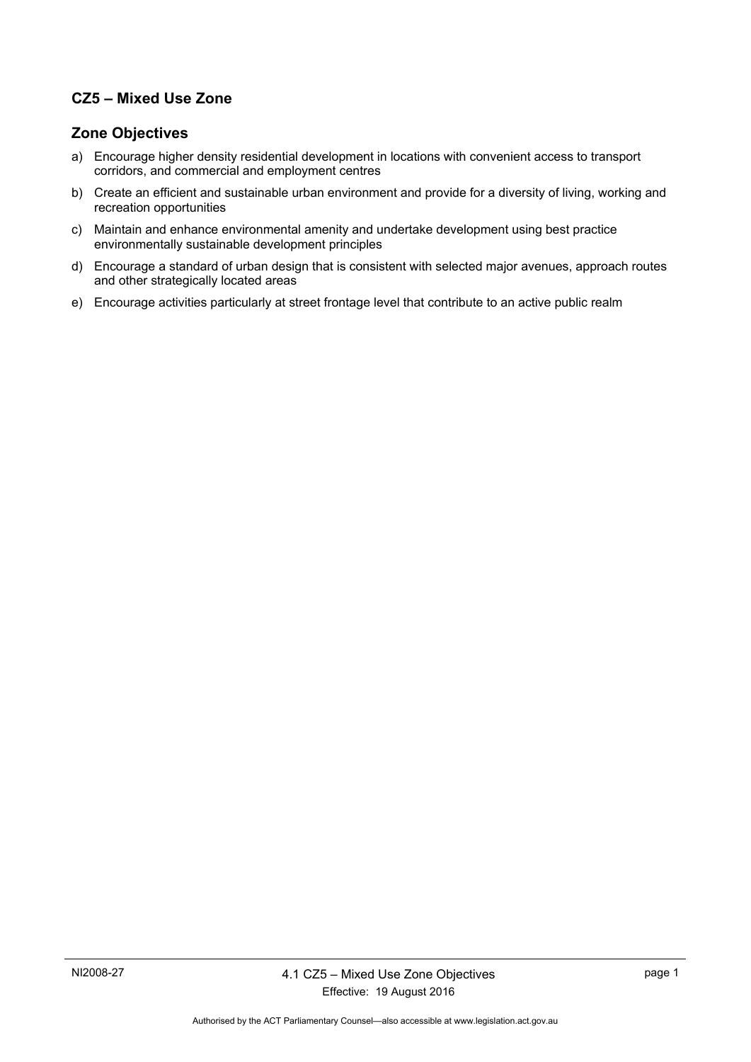## **CZ5 – Mixed Use Zone**

## **Zone Objectives**

- a) Encourage higher density residential development in locations with convenient access to transport corridors, and commercial and employment centres
- b) Create an efficient and sustainable urban environment and provide for a diversity of living, working and recreation opportunities
- c) Maintain and enhance environmental amenity and undertake development using best practice environmentally sustainable development principles
- d) Encourage a standard of urban design that is consistent with selected major avenues, approach routes and other strategically located areas
- e) Encourage activities particularly at street frontage level that contribute to an active public realm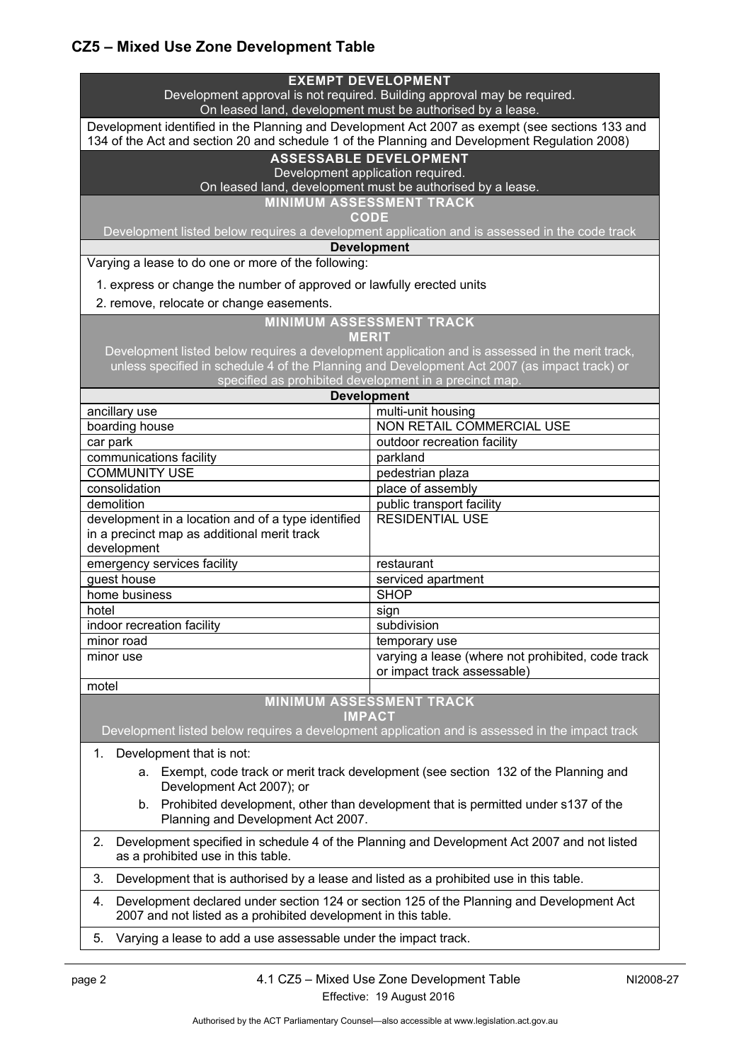# **CZ5 – Mixed Use Zone Development Table**

| <b>EXEMPT DEVELOPMENT</b><br>Development approval is not required. Building approval may be required.<br>On leased land, development must be authorised by a lease.                              |                                                                                                 |  |
|--------------------------------------------------------------------------------------------------------------------------------------------------------------------------------------------------|-------------------------------------------------------------------------------------------------|--|
| Development identified in the Planning and Development Act 2007 as exempt (see sections 133 and<br>134 of the Act and section 20 and schedule 1 of the Planning and Development Regulation 2008) |                                                                                                 |  |
| <b>ASSESSABLE DEVELOPMENT</b><br>Development application required.                                                                                                                               |                                                                                                 |  |
| On leased land, development must be authorised by a lease.                                                                                                                                       |                                                                                                 |  |
| <b>MINIMUM ASSESSMENT TRACK</b>                                                                                                                                                                  |                                                                                                 |  |
| <b>CODE</b><br>Development listed below requires a development application and is assessed in the code track                                                                                     |                                                                                                 |  |
| <b>Development</b>                                                                                                                                                                               |                                                                                                 |  |
| Varying a lease to do one or more of the following:                                                                                                                                              |                                                                                                 |  |
| 1. express or change the number of approved or lawfully erected units                                                                                                                            |                                                                                                 |  |
| 2. remove, relocate or change easements.                                                                                                                                                         |                                                                                                 |  |
| <b>MINIMUM ASSESSMENT TRACK</b><br><b>MERIT</b>                                                                                                                                                  |                                                                                                 |  |
|                                                                                                                                                                                                  | Development listed below requires a development application and is assessed in the merit track, |  |
| unless specified in schedule 4 of the Planning and Development Act 2007 (as impact track) or                                                                                                     |                                                                                                 |  |
| specified as prohibited development in a precinct map.<br><b>Development</b>                                                                                                                     |                                                                                                 |  |
| ancillary use                                                                                                                                                                                    | multi-unit housing                                                                              |  |
| boarding house                                                                                                                                                                                   | NON RETAIL COMMERCIAL USE                                                                       |  |
| car park                                                                                                                                                                                         | outdoor recreation facility                                                                     |  |
| communications facility                                                                                                                                                                          | parkland                                                                                        |  |
| <b>COMMUNITY USE</b>                                                                                                                                                                             | pedestrian plaza                                                                                |  |
| consolidation                                                                                                                                                                                    | place of assembly                                                                               |  |
| demolition                                                                                                                                                                                       | public transport facility                                                                       |  |
| development in a location and of a type identified<br>in a precinct map as additional merit track<br>development                                                                                 | <b>RESIDENTIAL USE</b>                                                                          |  |
| emergency services facility                                                                                                                                                                      | restaurant                                                                                      |  |
| guest house                                                                                                                                                                                      | serviced apartment                                                                              |  |
| home business                                                                                                                                                                                    | <b>SHOP</b>                                                                                     |  |
| hotel                                                                                                                                                                                            | sign                                                                                            |  |
| indoor recreation facility                                                                                                                                                                       | subdivision                                                                                     |  |
| minor road                                                                                                                                                                                       | temporary use                                                                                   |  |
| minor use                                                                                                                                                                                        | varying a lease (where not prohibited, code track<br>or impact track assessable)                |  |
| motel                                                                                                                                                                                            |                                                                                                 |  |
| <b>MINIMUM ASSESSMENT TRACK</b><br><b>IMPACT</b>                                                                                                                                                 |                                                                                                 |  |
| Development listed below requires a development application and is assessed in the impact track                                                                                                  |                                                                                                 |  |
| Development that is not:<br>1.                                                                                                                                                                   |                                                                                                 |  |
| Exempt, code track or merit track development (see section 132 of the Planning and<br>a.<br>Development Act 2007); or                                                                            |                                                                                                 |  |
| Prohibited development, other than development that is permitted under s137 of the<br>b.<br>Planning and Development Act 2007.                                                                   |                                                                                                 |  |
| Development specified in schedule 4 of the Planning and Development Act 2007 and not listed<br>2.<br>as a prohibited use in this table.                                                          |                                                                                                 |  |
| 3.<br>Development that is authorised by a lease and listed as a prohibited use in this table.                                                                                                    |                                                                                                 |  |
| Development declared under section 124 or section 125 of the Planning and Development Act<br>4.<br>2007 and not listed as a prohibited development in this table.                                |                                                                                                 |  |
| 5.<br>Varying a lease to add a use assessable under the impact track.                                                                                                                            |                                                                                                 |  |